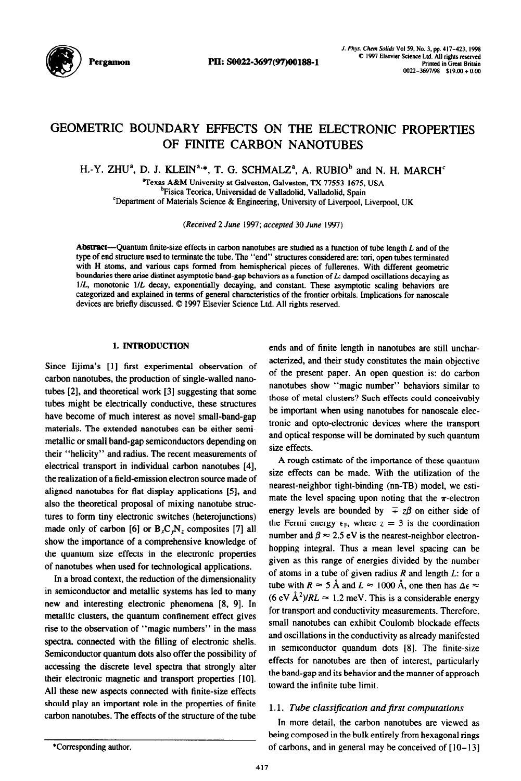

# GEOMETRIC BOUNDARY EFFECTS ON THE ELECTRONIC PROPERTIES OF FINITE CARBON NANOTUBES

H.-Y. ZHU<sup>a</sup>, D. J. KLEIN<sup>a,\*</sup>, T. G. SCHMALZ<sup>a</sup>, A. RUBIO<sup>b</sup> and N. H. MARCH<sup>c</sup>

Texas A&M University at Galveston, Galveston, TX 77553-1675, USA <sup>b</sup>Fisica Teorica, Universidad de Valladolid, Valladolid, Spain

'Department of Materials Science & Engineering, University of Liverpool, Liverpool, UK

*(Received 2 June 1997; accepted 30* June 1997)

Abstract-Quantum finite-size effects in carbon nanotubes are studied as a function of tube length L and of the type of end structure used to terminate the tube. The "end" structures considered are: tori, open tubes terminated with H atoms, and various caps formed from hemispherical pieces of fullerenes. With different geometric boundaries there arise distinct asymptotic band-gap behaviors as a function of  $L$ : damped oscillations decaying as l/L, monotonic l/L decay, exponentially decaying, and constant. These asymptotic scaling behaviors are categorized and explained in terms of general characteristics of the frontier orbitals. Implications for nanoscale devices are briefly discussed. © 1997 Elsevier Science Ltd. All rights reserved.

### 1. INTRODUCTION

Since Iijima's [l] first experimental observation of carbon nanotubes, the production of single-walled nanotubes [2], and theoretical work [3] suggesting that some tubes might be electrically conductive, these structures have become of much interest as novel small-band-gap materials. The extended nanotubes can be either semimetallic or small band-gap semiconductors depending on their "helicity" and radius. The recent measurements of electrical transport in individual carbon nanotubes [4], the realization of a field-emission electron source made of aligned nanotubes for flat display applications [S], and also the theoretical proposal of mixing nanotube structures to form tiny electronic switches (heterojunctions) made only of carbon [6] or  $B_xC_vN_z$  composites [7] all show the importance of a comprehensive knowledge of the quantum size effects in the electronic properties of nanotubes when used for technological applications.

In a broad context, the reduction of the dimensionality in semiconductor and metallic systems has led to many new and interesting electronic phenomena [8, 91. In metallic clusters, the quantum confinement effect gives rise to the observation of "magic numbers" in the mass spectra, connected with the filling of electronic shells. Semiconductor quantum dots also offer the possibility of accessing the discrete level spectra that strongly alter their electronic magnetic and transport properties [10]. All these new aspects connected with finite-size effects should play an important role in the properties of finite carbon nanotubes. The effects of the structure of the tube

ends and of finite length in nanotubes are still uncharacterized, and their study constitutes the main objective of the present paper. An open question is: do carbon nanotubes show "magic number" behaviors similar to those of metal clusters? Such effects could conceivably be important when using nanotubes for nanoscale electronic and opto-electronic devices where the transport and optical response will be dominated by such quantum size effects.

A rough estimate of the importance of these quantum size effects can be made. With the utilization of the nearest-neighbor tight-binding (nn-TB) model, we estimate the level spacing upon noting that the  $\pi$ -electron energy levels are bounded by  $\mp z\beta$  on either side of the Fermi energy  $\epsilon_F$ , where  $z = 3$  is the coordination number and  $\beta \approx 2.5$  eV is the nearest-neighbor electronhopping integral. Thus a mean level spacing can be given as this range of energies divided by the number of atoms in a tube of given radius  $R$  and length  $L$ : for a tube with  $R \approx 5 \text{ Å}$  and  $L \approx 1000 \text{ Å}$ , one then has  $\Delta \epsilon \approx$  $(6 \text{ eV} \text{ Å}^2)/RL \approx 1.2 \text{ meV}$ . This is a considerable energy for transport and conductivity measurements. Therefore, small nanotubes can exhibit Coulomb blockade effects and oscillations in the conductivity as already manifested in semiconductor quandum dots [8]. The finite-size effects for nanotubes are then of interest, particularly the band-gap and its behavior and the manner of approach toward the infinite tube limit.

# 1.1. Tube classification and first computations

In more detail, the carbon nanotubes are viewed as being composed in the bulk entirely from hexagonal rings of carbons, and in general may be conceived of  $[10-13]$ 

<sup>\*</sup>Corresponding author.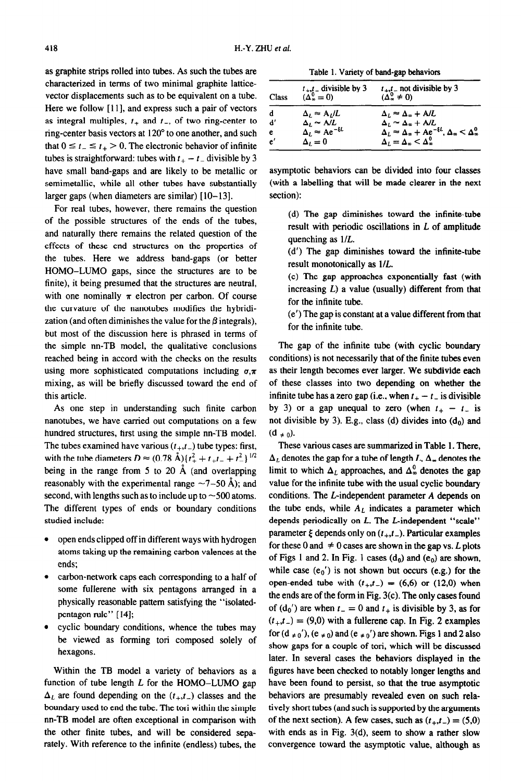as graphite strips rolled into tubes. As such the tubes are characterized in terms of two minimal graphite latticevector displacements such as to be equivalent on a tube. Here we follow [11], and express such a pair of vectors as integral multiples,  $t_+$  and  $t_-$ , of two ring-center to ring-center basis vectors at 120" to one another, and such that  $0 \le t_- \le t_+ > 0$ . The electronic behavior of infinite tubes is straightforward: tubes with  $t_{+} - t_{-}$  divisible by 3 have small band-gaps and are likely to be metallic or semimetallic, while all other tubes have substantially larger gaps (when diameters are similar)  $[10-13]$ .

For real tubes, however, there remains the question of the possible structures of the ends of the tubes, and naturally there remains the related question of the effects of these end structures on the properties of the tubes. Here we address band-gaps (or better HOMO-LUMO gaps, since the structures are to be finite), it being presumed that the structures are neutral, with one nominally  $\pi$  electron per carbon. Of course the curvature of the nanotubes modifies the hybridization (and often diminishes the value for the  $\beta$  integrals), but most of the discussion here is phrased in terms of the simple nn-TB model, the qualitative conclusions reached being in accord with the checks on the results using more sophisticated computations including  $\sigma,\pi$ mixing, as will be briefly discussed toward the end of this article.

As one step in understanding such finite carbon nanotubes, we have carried out computations on a few hundred structures, first using the simple nn-TB model. The tubes examined have various  $(t_{+},t_{-})$  tube types: first, with the tube diameters  $D \approx (0.78 \text{ Å}) \{ t_{+}^{2} + t_{+}t_{-} + t_{-}^{2} \}^{1/2}$ being in the range from 5 to 20  $\AA$  (and overlapping reasonably with the experimental range  $\sim$ 7-50 Å); and second, with lengths such as to include up to  $\sim$  500 atoms. The different types of ends or boundary conditions studied include:

- open ends clipped off in different ways with hydrogen atoms taking up the remaining carbon valences at the ends;
- carbon-network caps each corresponding to a half of some fullerene with six pentagons arranged in a physically reasonable pattern satisfying the "isolatedpentagon rule" [14];
- cyclic boundary conditions, whence the tubes may be viewed as forming tori composed solely of hexagons.

Within the TB model a variety of behaviors as a function of tube length  $L$  for the HOMO-LUMO gap  $\Delta_l$  are found depending on the  $(t_{+},t_{-})$  classes and the boundary **used** to end the tube. The tori within the simple nn-TB model are often exceptional in comparison with the other finite tubes, and will be considered separately. With reference to the infinite (endless) tubes, the

Table 1. Variety of band-gap behaviors

| Class | $t_{+}$ , $t_{-}$ divisible by 3<br>$(\Delta^0_0 = 0)$ | $t_{+},t_{-}$ not divisible by 3<br>$(\Delta_{\infty}^{0} \neq 0)$                       |
|-------|--------------------------------------------------------|------------------------------------------------------------------------------------------|
| d     | $\Delta_l \approx A_l/L$                               | $\Delta_l \approx \Delta_w + A/L$                                                        |
| ď     | $\Delta_L \approx A/L$                                 | $\Delta_L \approx \Delta_{\infty} + A/L$                                                 |
| e     | $\Delta_L \approx A e^{-\xi L}$                        | $\Delta_L \approx \Delta_{\infty} + Ae^{-\xi L}$ , $\Delta_{\infty} < \Delta_{\infty}^0$ |
| e'    | $\Delta_i=0$                                           | $\Delta_L = \Delta_{\infty} < \Delta_{\infty}^0$                                         |

asymptotic behaviors can be divided into four classes (with a labelling that will be made clearer in the next section):

(d) The gap diminishes toward the infinite-tube result with periodic oscillations in  $L$  of amplitude quenching as l/L.

(d') The gap diminishes toward the infinite-tube result monotonically as l/L.

(e) The gap approaches exponentially fast (with increasing *L)* a value (usually) different from that for the infinite tube.

(e') The gap is constant at a value different from that for the infinite tube.

The gap of the infinite tube (with cyclic boundary conditions) is not necessarily that of the finite tubes even as their length becomes ever larger. We subdivide each of these classes into two depending on whether the infinite tube has a zero gap (i.e., when  $t_{+} - t_{-}$  is divisible by 3) or a gap unequal to zero (when  $t_{+} - t_{-}$  is not divisible by 3). E.g., class (d) divides into  $(d_0)$  and  $(d \pm 0)$ .

These various cases are summarized in Table 1. There,  $\Delta_L$  denotes the gap for a tube of length *L*,  $\Delta_{\infty}$  denotes the limit to which  $\Delta_L$  approaches, and  $\Delta_{\infty}^0$  denotes the gap value for the infinite tube with the usual cyclic boundary conditions. The L-independent parameter *A* depends on the tube ends, while  $A_L$  indicates a parameter which depends periodically on *L*. The *L*-independent "scale" parameter  $\xi$  depends only on  $(t_{+},t_{-})$ . Particular examples for these 0 and  $\neq$  0 cases are shown in the gap vs. *L* plots of Figs 1 and 2. In Fig. 1 cases  $(d_0)$  and  $(e_0)$  are shown, while case  $(e_0')$  is not shown but occurs (e.g.) for the open-ended tube with  $(t_+,t_-) = (6,6)$  or  $(12,0)$  when the ends are of the form in Fig. 3(c). The only cases found of  $(d_0')$  are when  $t_-=0$  and  $t_+$  is divisible by 3, as for  $(t_{+},t_{-}) = (9,0)$  with a fullerene cap. In Fig. 2 examples for  $(d \neq 0')$ ,  $(e \neq 0)$  and  $(e \neq 0')$  are shown. Figs 1 and 2 also show gaps for a couple of tori, which will be discussed later. In several cases the behaviors displayed in the figures have been checked to notably longer lengths and have been found to persist, so that the true asymptotic behaviors are presumably revealed even on such relatively short tubes (and such is supported by the arguments of the next section). A few cases, such as  $(t_{+},t_{-}) = (5,0)$ with ends as in Fig. 3(d), seem to show a rather slow convergence toward the asymptotic value, although as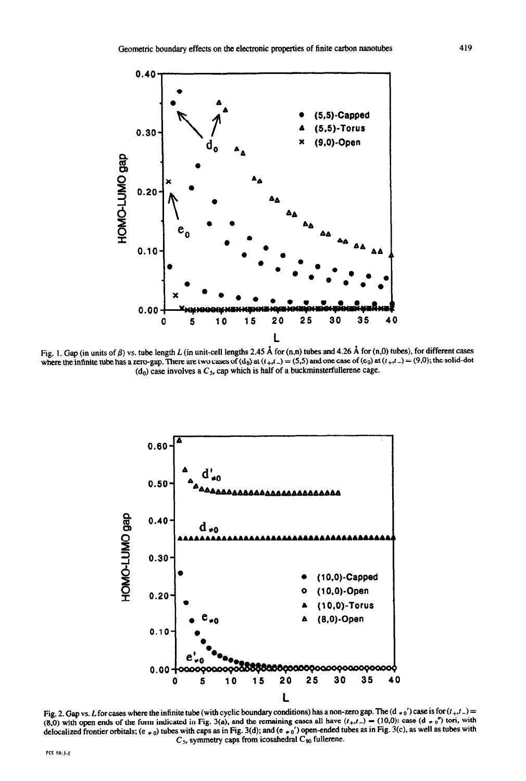

Fig. 1. Gap (in units of  $\beta$ ) vs. tube length L (in unit-cell lengths 2.45 Å for (n,n) tubes and 4.26 Å for (n,0) tubes), for different cases where the infinite tube has a zero-gap. There are two cases of (d<sub>0</sub>) at  $(t_+,t_-) = (5,5)$  and one case of (e<sub>0</sub>) at  $(t_+,t_-) = (9,0)$ ; the solid-dot (d<sub>0</sub>) case involves a  $C_{5v}$  cap which is half of a buckminsterfullerene cage.



Fig. 2. Gap vs. L for cases where the infinite tube (with cyclic boundary conditions) has a non-zero gap. The  $(d_{\neq 0})$  case is for  $(t_{+},t_{-})$  = (8,0) with open ends of the form indicated in Fig. 3(a), and the remaining cases all have  $(t_+,t_-) = (10,0)$ : case  $(d * 0'')$  tori, with delocalized frontier orbitals; (e  $\neq$  a) tubes with caps as in Fig. 3(d); and (e  $\neq$  a) open-ended tubes as in Fig. 3(c), as well as tubes with  $C_{5v}$  symmetry caps from icosahedral C<sub>80</sub> fullerene.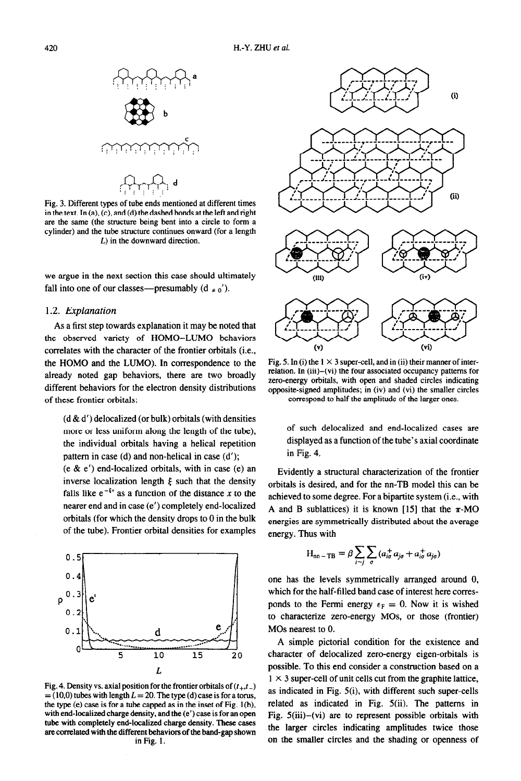

Fig. 3. Different types of tube ends mentioned at different times in the text. In  $(a)$ ,  $(c)$ , and  $(d)$  the dashed bonds at the left and right are the same (the structure being bent into a circle to form a cylinder) and the tube structure continues onward (for a length L) in the downward direction.

we argue in the next section this case should ultimately fall into one of our classes—presumably  $(d \neq 0')$ .

## *1.2. Explanation*

As a first step towards explanation it may be noted that the observed variety of HOMO-LUMO behaviors correlates with the character of the frontier orbitals (i.e., the HOMO and the LUMO). In correspondence to the already noted gap behaviors, there are two broadly different behaviors for the electron density distributions of these frontier orbitals:

 $(d & d')$  delocalized (or bulk) orbitals (with densities more or less uniform along the length of the tube), the individual orbitals having a helical repetition pattern in case (d) and non-helical in case (d');

 $(e \& e')$  end-localized orbitals, with in case  $(e)$  an inverse localization length  $\xi$  such that the density falls like  $e^{-\xi x}$  as a function of the distance x to the nearer end and in case (e') completely end-localized orbitals (for which the density drops to 0 in the bulk of the tube). Frontier orbital densities for examples



Fig. 4. Density vs. axial position for the frontier orbitals of  $(t_{+},t_{-})$  $= (10,0)$  tubes with length  $L = 20$ . The type (d) case is for a torus, the type (e) case is for a tube capped as in the inset of Fig. l(b), with end-localized charge density, and the (e') case is for an open tube with completely end-localized charge density. These cases are correlated with the different behaviors of the band-gap shown in Fig. 1.



Fig. 5. In (i) the  $1 \times 3$  super-cell, and in (ii) their manner of interrelation. In (iii)-(vi) the four associated occupancy patterns for zero-energy orbitals, with open and shaded circles indicating opposite-signed amplitudes; in (iv) and (vi) the smaller circles correspond to half the amplitude of the larger ones.

of such delocalized and end-localized cases are displayed as a function of the tube's axial coordinate in Fig. 4.

Evidently a structural characterization of the frontier orbitals is desired, and for the nn-TB model this can be achieved to some degree. For a bipartite system (i.e., with A and B sublattices) it is known [15] that the  $\pi$ -MO energies are symmetrically distributed about the average energy. Thus with

$$
H_{nn-TB} \equiv \beta \sum_{i \sim j} \sum_{\sigma} (a_{i\sigma}^{\dagger} a_{j\sigma} + a_{i\sigma}^{\dagger} a_{j\sigma})
$$

one has the levels symmetrically arranged around 0, which for the half-filled band case of interest here corresponds to the Fermi energy  $\epsilon_F = 0$ . Now it is wished to characterize zero-energy MOs, or those (frontier) MOs nearest to 0.

A simple pictorial condition for the existence and character of delocalized zero-energy eigen-orbitals is possible. To this end consider a construction based on a  $1 \times 3$  super-cell of unit cells cut from the graphite lattice, as indicated in Fig. 5(i), with different such super-cells related as indicated in Fig. 5(ii). The patterns in Fig.  $5(iii)$ -(vi) are to represent possible orbitals with the larger circles indicating amplitudes twice those on the smaller circles and the shading or openness of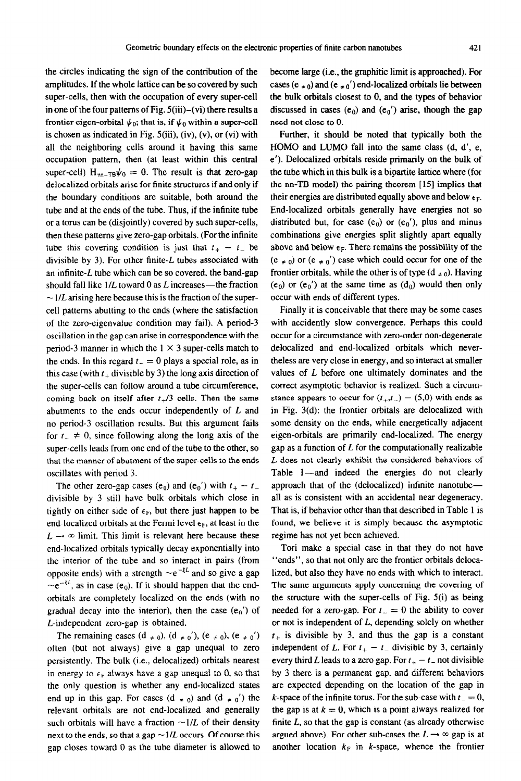the circles indicating the sign of the contribution of the amplitudes. If the whole lattice can be so covered by such super-cells, then with the occupation of every super-cell in one of the four patterns of Fig. S(iii)-(vi) there results a frontier eigen-orbital  $\psi_0$ ; that is, if  $\psi_0$  within a super-cell is chosen as indicated in Fig. S(iii), (iv), (v), or (vi) with all the neighboring cells around it having this same occupation pattern, then (at least within this central super-cell)  $H_{nn-TB}\psi_0 = 0$ . The result is that zero-gap delocalized orbitals arise for finite structures if and only if the boundary conditions are suitable, both around the tube and at the ends of the tube. Thus, if the infinite tube or a torus can be (disjointly) covered by such super-cells, then these patterns give zero-gap orbitals. (For the infinite tube this covering condition is just that  $t_{+} - t_{-}$  be divisible by 3). For other finite- $L$  tubes associated with an infinite-L tube which can be so covered, the band-gap should fall like  $1/L$  toward 0 as  $L$  increases—the fraction  $\sim$  1/L arising here because this is the fraction of the supercell patterns abutting to the ends (where the satisfaction of the zero-eigenvalue condition may fail). A period-3 oscillation in the gap can arise in correspondence with the period-3 manner in which the  $1 \times 3$  super-cells match to the ends. In this regard  $t_-=0$  plays a special role, as in this case (with  $t_{+}$  divisible by 3) the long axis direction of the super-cells can follow around a tube circumference, coming back on itself after  $t<sub>+</sub>/3$  cells. Then the same abutments to the ends occur independently of *L* and no period-3 oscillation results. But this argument fails for  $t_{-} \neq 0$ , since following along the long axis of the super-cells leads from one end of the tube to the other, so that the manner of abutment of the super-cells to the ends oscillates with period 3.

The other zero-gap cases (e<sub>0</sub>) and (e<sub>0</sub>') with  $t_{+} - t_{-}$ divisible by 3 still have bulk orbitals which close in tightly on either side of  $\epsilon_F$ , but there just happen to be end-localized orbitals at the Fermi level  $\epsilon_F$ , at least in the  $L \rightarrow \infty$  limit. This limit is relevant here because these end-localized orbitals typically decay exponentially into the interior of the tube and so interact in pairs (from opposite ends) with a strength  $\sim e^{-\xi L}$  and so give a gap  $\sim e^{-\xi L}$ , as in case (e<sub>0</sub>). If it should happen that the endorbitals are completely localized on the ends (with no gradual decay into the interior), then the case  $(e_0')$  of L-independent zero-gap is obtained.

The remaining cases  $(d \neq 0)$ ,  $(d \neq 0')$ ,  $(e \neq 0)$ ,  $(e \neq 0')$ often (but not always) give a gap unequal to zero persistently. The bulk (i.e., delocalized) orbitals nearest in energy to  $\epsilon_F$  always have a gap unequal to 0, so that the only question is whether any end-localized states end up in this gap. For cases (d  $\neq$  0) and (d  $\neq$  0') the relevant orbitals are not end-localized and generally such orbitals will have a fraction  $\sim 1/L$  of their density next to the ends, so that a gap  $\sim$  1/L occurs. Of course this gap closes toward 0 as the tube diameter is aliowed to

become large (i.e., the graphitic limit is approached). For cases (e  $\neq$  0) and (e  $\neq$  0') end-localized orbitals lie between the bulk orbitals closest to 0, and the types of behavior discussed in cases  $(e_0)$  and  $(e_0')$  arise, though the gap need not close to 0.

Further, it should be noted that typically both the HOMO and LUMO fall into the same class (d, d', e, e'). Delocalized orbitals reside primarily on the bulk of the tube which in this bulk is a bipartite lattice where (for the nn-TB model) the pairing theorem [15] implies that their energies are distributed equally above and below  $\epsilon_F$ . End-localized orbitals generally have energies not so distributed but, for case  $(e_0)$  or  $(e_0')$ , plus and minus combinations give energies split slightly apart equally above and below  $\epsilon_F$ . There remains the possibility of the  $(e \neq 0)$  or  $(e \neq 0')$  case which could occur for one of the frontier orbitals, while the other is of type  $(d_{\neq 0})$ . Having  $(e_0)$  or  $(e_0')$  at the same time as  $(d_0)$  would then only occur with ends of different types.

Finally it is conceivable that there may be some cases with accidently slow convergence. Perhaps this could occur for a circumstance with zero-order non-degenerate delocalized and end-localized orbitals which nevertheless are very close in energy, and so interact at smaller values of *L* before one ultimately dominates and the correct asymptotic behavior is realized. Such a circumstance appears to occur for  $(t_{+},t_{-}) = (5,0)$  with ends as in Fig. 3(d): the frontier orbitals are delocalized with some density on the ends, while energetically adjacent eigen-orbitals are primarily end-localized. The energy gap as a function of  $L$  for the computationally realizable *L* does not clearly exhibit the considered behaviors of Table 1-and indeed the energies do not clearly approach that of the (delocalized) infinite nanotubeall as is consistent with an accidental near degeneracy. That is, if behavior other than that described in Table 1 is found, we believe it is simply because the asymptotic regime has not yet been achieved.

Tori make a special case in that they do not have "ends", so that not only are the frontier orbitals delocalized, but also they have no ends with which to interact. The same arguments apply concerning the covering of the structure with the super-cells of Fig. 5(i) as being needed for a zero-gap. For  $t = 0$  the ability to cover or not is independent of *L,* depending solely on whether  $t_{+}$  is divisible by 3, and thus the gap is a constant independent of *L*. For  $t_{+} - t_{-}$  divisible by 3, certainly every third *L* leads to a zero gap. For  $t_+ - t_-$  not divisible by 3 there is a permanent gap, and different behaviors are expected depending on the location of the gap in k-space of the infinite torus. For the sub-case with  $t = 0$ , the gap is at  $k = 0$ , which is a point always realized for finite *L, so* that the gap is constant (as already otherwise argued above). For other sub-cases the  $L \rightarrow \infty$  gap is at another location  $k_F$  in k-space, whence the frontier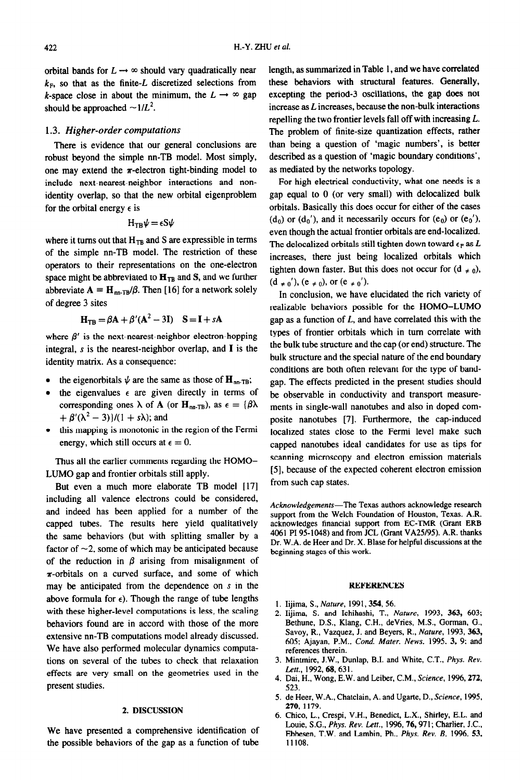orbital bands for  $L \rightarrow \infty$  should vary quadratically near  $k_F$ , so that as the finite-L discretized selections from k-space close in about the minimum, the  $L \rightarrow \infty$  gap should be approached  $\sim 1/L^2$ .

## 1.3. *Higher-order computations*

There is evidence that our general conclusions are robust beyond the simple nn-TB model. Most simply, one may extend the  $\pi$ -electron tight-binding model to include next-nearest-neighbor interactions and nonidentity overlap, so that the new orbital eigenproblem for the orbital energy  $\epsilon$  is

$$
H_{TB}\psi = \epsilon S\psi
$$

where it turns out that  $H_{TB}$  and S are expressible in terms of the simple nn-TB model. The restriction of these operators to their representations on the one-electron space might be abbreviated to  $H_{TB}$  and S, and we further abbreviate  $A = H_{nn-TB}/\beta$ . Then [16] for a network solely of degree 3 sites

$$
H_{TB} = \beta A + \beta'(A^2 - 3I) \quad S = I + sA
$$

where  $\beta'$  is the next-nearest-neighbor electron-hopping integral, s is the nearest-neighbor overlap, and I is the identity matrix. As a consequence:

- the eigenorbitals  $\psi$  are the same as those of  $\mathbf{H}_{nn}$ .
- the eigenvalues  $\epsilon$  are given directly in terms of corresponding ones  $\lambda$  of **A** (or **H**<sub>nn-TB</sub>), as  $\epsilon = {\beta \lambda}$  $+ \beta'(\lambda^2 - 3)/((1 + s\lambda))$ ; and
- this mapping is monotonic in the region of the Fermi energy, which still occurs at  $\epsilon = 0$ .

Thus all the earlier comments regarding the HOMO-LUMO gap and frontier orbitals still apply.

But even a much more elaborate TB model [17] including all valence electrons could be considered, and indeed has been applied for a number of the capped tubes. The results here yield qualitatively the same behaviors (but with splitting smaller by a factor of  $\sim$ 2, some of which may be anticipated because of the reduction in  $\beta$  arising from misalignment of  $\pi$ -orbitals on a curved surface, and some of which may be anticipated from the dependence on  $s$  in the above formula for  $\epsilon$ ). Though the range of tube lengths with these higher-level computations is less, the scaling behaviors found are in accord with those of the more extensive nn-TB computations mode1 already discussed. We have also performed molecular dynamics computations on several of the tubes to check that relaxation effects are very small on the geometries used in the present studies.

#### 2. **DISCUSSION**

**We** have presented a comprehensive identification of the possible behaviors of the gap as a function of tube length, as summarized in Table 1, and we have correlated these behaviors with structural features. Generally, excepting the period-3 oscillations, the gap does not increase as *L* increases, because the non-bulk interactions repelling the two frontier levels fall off with increasing *L.*  The problem of finite-size quantization effects, rather than being a question of 'magic numbers', is better described as a question of 'magic boundary conditions', as mediated by the networks topology.

For high electrical conductivity, what one needs is a gap equal to 0 (or very small) with delocalized bulk orbitals. Basically this does occur for either of the cases  $(d_0)$  or  $(d_0')$ , and it necessarily occurs for  $(e_0)$  or  $(e_0')$ , even though the actual frontier orbitals are end-localized. The delocalized orbitals still tighten down toward  $\epsilon_F$  as  $L$ increases, there just being localized orbitals which tighten down faster. But this does not occur for  $(d \neq 0)$ .  $(d \neq 0')$ ,  $(e \neq 0)$ , or  $(e \neq 0')$ .

In conclusion, we have elucidated the rich variety of realizable behaviors possible for the HOMO-LUMO gap as a function of *L,* and have correlated this with the types of frontier orbitals which in turn correlate with the bulk tube structure and the cap (or end) structure. The bulk structure and the special nature of the end boundary conditions are both often relevant for the type of bandgap. The effects predicted in the present studies should be observable in conductivity and transport measurements in single-wall nanotubes and also in doped composite nanotubes [7]. Furthermore, the cap-induced localized states close to the Fermi level make such capped nanotubes ideal candidates for use as tips for scanning microscopy and electron emission materials [5], because of the expected coherent electron emission from such cap states.

Acknowledgements-The Texas authors acknowledge research support from the Welch Foundation of Houston, Texas. A.R. acknowledges financial support from EC-TMR (Grant ERB 4061 PI 95-1018) and from JCL (Grant VA25/95). A.R. thanks Dr. W.A. de Heer and Dr. X. Blase for helpful discussions at the beginning stages of this work.

#### **REFERENCES**

- 1. Iijima, S., *Nature,* 1991, 354, 56.
- 2. Iijima, S. and Ichihashi, T., *Nature*, 1993, **363,** 603; Bethune, D.S., Klang, C.H., devries, M.S., Gorman, G., Savoy, R., Vazquez, J. and Beyers, R., Nature, 1993, 363, 605; Ajayan, P.M., Cond. Mater. News, 1995, 3, 9; and references therein.
- Mintmire, J.W., Dunlap, B.I. and White, C.T., *Phys. Rev.*  Lett., 1992, 68, 631.
- 4. Dai, H., Wong, E.W. and Leiber, C.M., *Science*, 1996, 272, 523.
- de Heer, W.A., Chatclain, A. and Ugarte, D., *Science,* 1995, 270, 1179.
- Chico, L., Crespi, V.H., Benedict, L.X., Shirley, E.L. and Louie, S.G., *Phys. Rev. Len.,* 1996,76,971; Charlier, J.C., Ebbesen, T.W. and Lambin, Ph., Phys. *Rev. B,* 1996, 53, 11108.